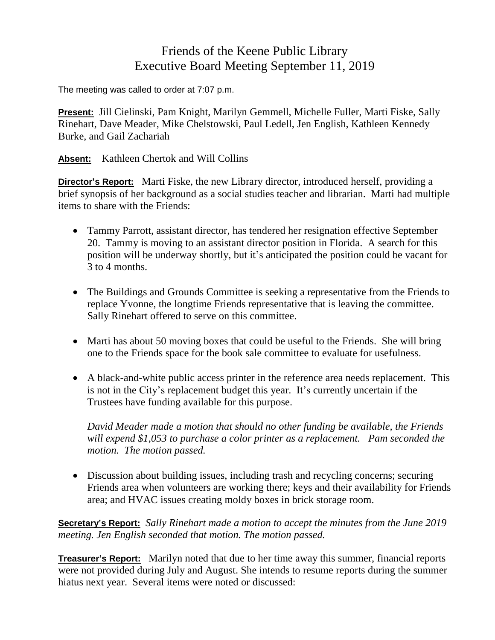## Friends of the Keene Public Library Executive Board Meeting September 11, 2019

The meeting was called to order at 7:07 p.m.

**Present:** Jill Cielinski, Pam Knight, Marilyn Gemmell, Michelle Fuller, Marti Fiske, Sally Rinehart, Dave Meader, Mike Chelstowski, Paul Ledell, Jen English, Kathleen Kennedy Burke, and Gail Zachariah

**Absent:** Kathleen Chertok and Will Collins

**Director's Report:** Marti Fiske, the new Library director, introduced herself, providing a brief synopsis of her background as a social studies teacher and librarian. Marti had multiple items to share with the Friends:

- Tammy Parrott, assistant director, has tendered her resignation effective September 20. Tammy is moving to an assistant director position in Florida. A search for this position will be underway shortly, but it's anticipated the position could be vacant for 3 to 4 months.
- The Buildings and Grounds Committee is seeking a representative from the Friends to replace Yvonne, the longtime Friends representative that is leaving the committee. Sally Rinehart offered to serve on this committee.
- Marti has about 50 moving boxes that could be useful to the Friends. She will bring one to the Friends space for the book sale committee to evaluate for usefulness.
- A black-and-white public access printer in the reference area needs replacement. This is not in the City's replacement budget this year. It's currently uncertain if the Trustees have funding available for this purpose.

*David Meader made a motion that should no other funding be available, the Friends will expend \$1,053 to purchase a color printer as a replacement. Pam seconded the motion. The motion passed.*

 Discussion about building issues, including trash and recycling concerns; securing Friends area when volunteers are working there; keys and their availability for Friends area; and HVAC issues creating moldy boxes in brick storage room.

**Secretary's Report:** *Sally Rinehart made a motion to accept the minutes from the June 2019 meeting. Jen English seconded that motion. The motion passed.*

**Treasurer's Report:** Marilyn noted that due to her time away this summer, financial reports were not provided during July and August. She intends to resume reports during the summer hiatus next year. Several items were noted or discussed: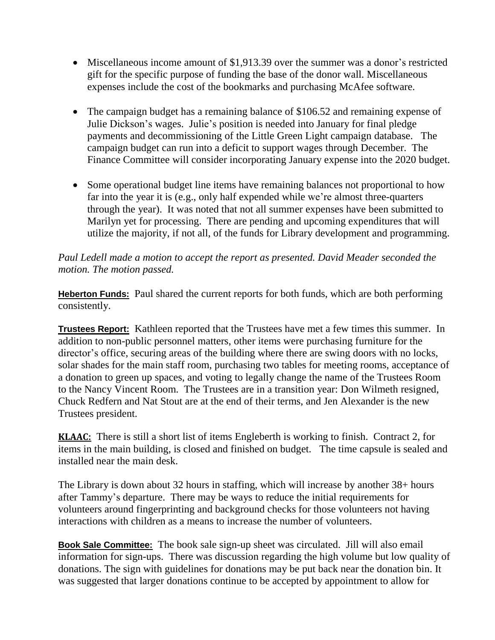- Miscellaneous income amount of \$1,913.39 over the summer was a donor's restricted gift for the specific purpose of funding the base of the donor wall. Miscellaneous expenses include the cost of the bookmarks and purchasing McAfee software.
- The campaign budget has a remaining balance of \$106.52 and remaining expense of Julie Dickson's wages. Julie's position is needed into January for final pledge payments and decommissioning of the Little Green Light campaign database. The campaign budget can run into a deficit to support wages through December. The Finance Committee will consider incorporating January expense into the 2020 budget.
- Some operational budget line items have remaining balances not proportional to how far into the year it is (e.g., only half expended while we're almost three-quarters through the year). It was noted that not all summer expenses have been submitted to Marilyn yet for processing. There are pending and upcoming expenditures that will utilize the majority, if not all, of the funds for Library development and programming.

## *Paul Ledell made a motion to accept the report as presented. David Meader seconded the motion. The motion passed.*

**Heberton Funds:** Paul shared the current reports for both funds, which are both performing consistently.

**Trustees Report:** Kathleen reported that the Trustees have met a few times this summer. In addition to non-public personnel matters, other items were purchasing furniture for the director's office, securing areas of the building where there are swing doors with no locks, solar shades for the main staff room, purchasing two tables for meeting rooms, acceptance of a donation to green up spaces, and voting to legally change the name of the Trustees Room to the Nancy Vincent Room. The Trustees are in a transition year: Don Wilmeth resigned, Chuck Redfern and Nat Stout are at the end of their terms, and Jen Alexander is the new Trustees president.

**KLAAC:** There is still a short list of items Engleberth is working to finish. Contract 2, for items in the main building, is closed and finished on budget. The time capsule is sealed and installed near the main desk.

The Library is down about 32 hours in staffing, which will increase by another 38+ hours after Tammy's departure. There may be ways to reduce the initial requirements for volunteers around fingerprinting and background checks for those volunteers not having interactions with children as a means to increase the number of volunteers.

**Book Sale Committee:** The book sale sign-up sheet was circulated. Jill will also email information for sign-ups. There was discussion regarding the high volume but low quality of donations. The sign with guidelines for donations may be put back near the donation bin. It was suggested that larger donations continue to be accepted by appointment to allow for